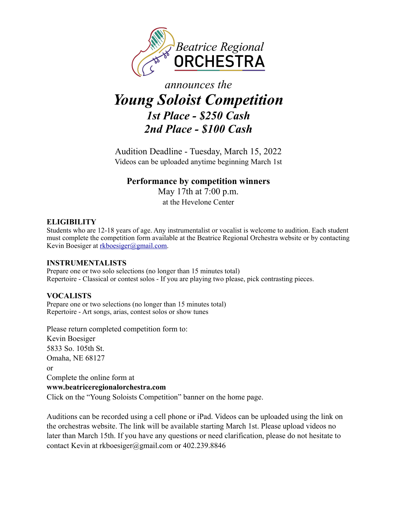

# *announces the Young Soloist Competition 1st Place - \$250 Cash 2nd Place - \$100 Cash*

Audition Deadline - Tuesday, March 15, 2022 Videos can be uploaded anytime beginning March 1st

## **Performance by competition winners**

May 17th at 7:00 p.m. at the Hevelone Center

### **ELIGIBILITY**

Students who are 12-18 years of age. Any instrumentalist or vocalist is welcome to audition. Each student must complete the competition form available at the Beatrice Regional Orchestra website or by contacting Kevin Boesiger at [rkboesiger@gmail.com](mailto:rkboesiger@gmail.com).

### **INSTRUMENTALISTS**

Prepare one or two solo selections (no longer than 15 minutes total) Repertoire - Classical or contest solos - If you are playing two please, pick contrasting pieces.

### **VOCALISTS**

Prepare one or two selections (no longer than 15 minutes total) Repertoire - Art songs, arias, contest solos or show tunes

Please return completed competition form to: Kevin Boesiger 5833 So. 105th St. Omaha, NE 68127 or Complete the online form at **[www.beatriceregionalorchestra.com](http://www.beatriceregionalorchestra.com)**  Click on the "Young Soloists Competition" banner on the home page.

Auditions can be recorded using a cell phone or iPad. Videos can be uploaded using the link on the orchestras website. The link will be available starting March 1st. Please upload videos no later than March 15th. If you have any questions or need clarification, please do not hesitate to contact Kevin at rkboesiger@gmail.com or 402.239.8846